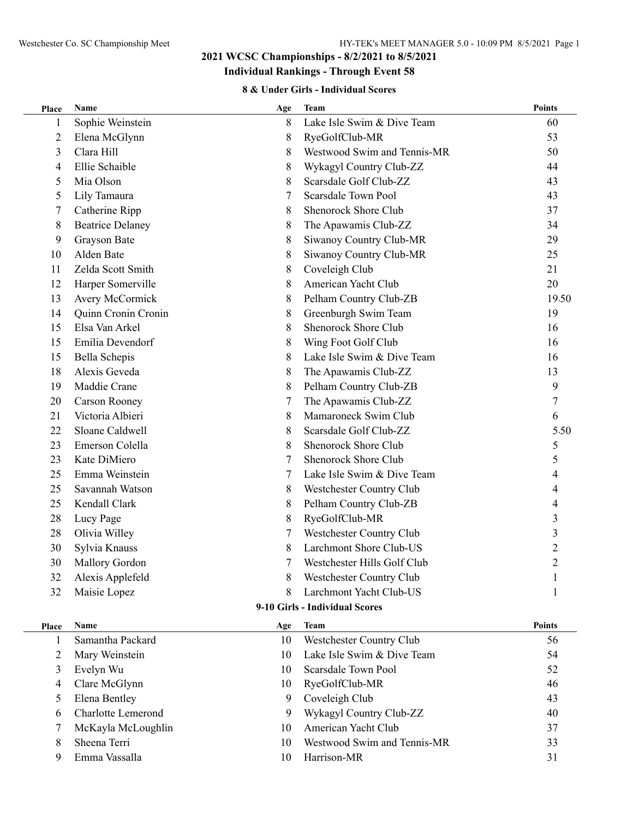# **Individual Rankings - Through Event 58**

#### **8 & Under Girls - Individual Scores**

| Place          | Name                           | Age | <b>Team</b>                 | <b>Points</b>  |  |  |  |
|----------------|--------------------------------|-----|-----------------------------|----------------|--|--|--|
| 1              | Sophie Weinstein               | 8   | Lake Isle Swim & Dive Team  | 60             |  |  |  |
| 2              | Elena McGlynn                  | 8   | RyeGolfClub-MR              | 53             |  |  |  |
| 3              | Clara Hill                     | 8   | Westwood Swim and Tennis-MR | 50             |  |  |  |
| $\overline{4}$ | Ellie Schaible                 | 8   | Wykagyl Country Club-ZZ     | 44             |  |  |  |
| 5              | Mia Olson                      | 8   | Scarsdale Golf Club-ZZ      | 43             |  |  |  |
| 5              | Lily Tamaura                   | 7   | Scarsdale Town Pool         | 43             |  |  |  |
| 7              | Catherine Ripp                 | 8   | Shenorock Shore Club        | 37             |  |  |  |
| 8              | <b>Beatrice Delaney</b>        | 8   | The Apawamis Club-ZZ        | 34             |  |  |  |
| 9              | Grayson Bate                   | 8   | Siwanoy Country Club-MR     | 29             |  |  |  |
| 10             | Alden Bate                     | 8   | Siwanoy Country Club-MR     | 25             |  |  |  |
| 11             | Zelda Scott Smith              | 8   | Coveleigh Club              | 21             |  |  |  |
| 12             | Harper Somerville              | 8   | American Yacht Club         | 20             |  |  |  |
| 13             | Avery McCormick                | 8   | Pelham Country Club-ZB      | 19.50          |  |  |  |
| 14             | Quinn Cronin Cronin            | 8   | Greenburgh Swim Team        | 19             |  |  |  |
| 15             | Elsa Van Arkel                 | 8   | Shenorock Shore Club        | 16             |  |  |  |
| 15             | Emilia Devendorf               | 8   | Wing Foot Golf Club         | 16             |  |  |  |
| 15             | Bella Schepis                  | 8   | Lake Isle Swim & Dive Team  | 16             |  |  |  |
| 18             | Alexis Geveda                  | 8   | The Apawamis Club-ZZ        | 13             |  |  |  |
| 19             | Maddie Crane                   | 8   | Pelham Country Club-ZB      | 9              |  |  |  |
| 20             | Carson Rooney                  | 7   | The Apawamis Club-ZZ        | 7              |  |  |  |
| 21             | Victoria Albieri               | 8   | Mamaroneck Swim Club        | 6              |  |  |  |
| 22             | Sloane Caldwell                | 8   | Scarsdale Golf Club-ZZ      | 5.50           |  |  |  |
| 23             | Emerson Colella                | 8   | Shenorock Shore Club        | 5              |  |  |  |
| 23             | Kate DiMiero                   | 7   | Shenorock Shore Club        | 5              |  |  |  |
| 25             | Emma Weinstein                 | 7   | Lake Isle Swim & Dive Team  |                |  |  |  |
| 25             | Savannah Watson                | 8   | Westchester Country Club    | 4              |  |  |  |
| 25             | Kendall Clark                  | 8   | Pelham Country Club-ZB      |                |  |  |  |
| 28             | Lucy Page                      | 8   | RyeGolfClub-MR              | 3              |  |  |  |
| 28             | Olivia Willey                  | 7   | Westchester Country Club    | 3              |  |  |  |
| 30             | Sylvia Knauss                  | 8   | Larchmont Shore Club-US     | $\overline{c}$ |  |  |  |
| 30             | <b>Mallory Gordon</b>          |     | Westchester Hills Golf Club | $\overline{2}$ |  |  |  |
| 32             | Alexis Applefeld               | 8   | Westchester Country Club    | 1              |  |  |  |
| 32             | Maisie Lopez                   | 8   | Larchmont Yacht Club-US     | 1              |  |  |  |
|                | 9-10 Girls - Individual Scores |     |                             |                |  |  |  |
| Place          | Name                           | Age | <b>Team</b>                 | <b>Points</b>  |  |  |  |
| 1              | Samantha Packard               | 10  | Westchester Country Club    | 56             |  |  |  |
| $\overline{2}$ | Mary Weinstein                 | 10  | Lake Isle Swim & Dive Team  | 54             |  |  |  |
| 3              | Evelyn Wu                      | 10  | Scarsdale Town Pool         | 52             |  |  |  |
| 4              | Clare McGlynn                  | 10  | RyeGolfClub-MR              | 46             |  |  |  |
| 5              | Elena Bentley                  | 9   | Coveleigh Club              | 43             |  |  |  |
| 6              | Charlotte Lemerond             | 9   | Wykagyl Country Club-ZZ     | 40             |  |  |  |
| 7              | McKayla McLoughlin             | 10  | American Yacht Club         | 37             |  |  |  |
| 8              | Sheena Terri                   | 10  | Westwood Swim and Tennis-MR | 33             |  |  |  |
| 9              | Emma Vassalla                  | 10  | Harrison-MR                 | 31             |  |  |  |
|                |                                |     |                             |                |  |  |  |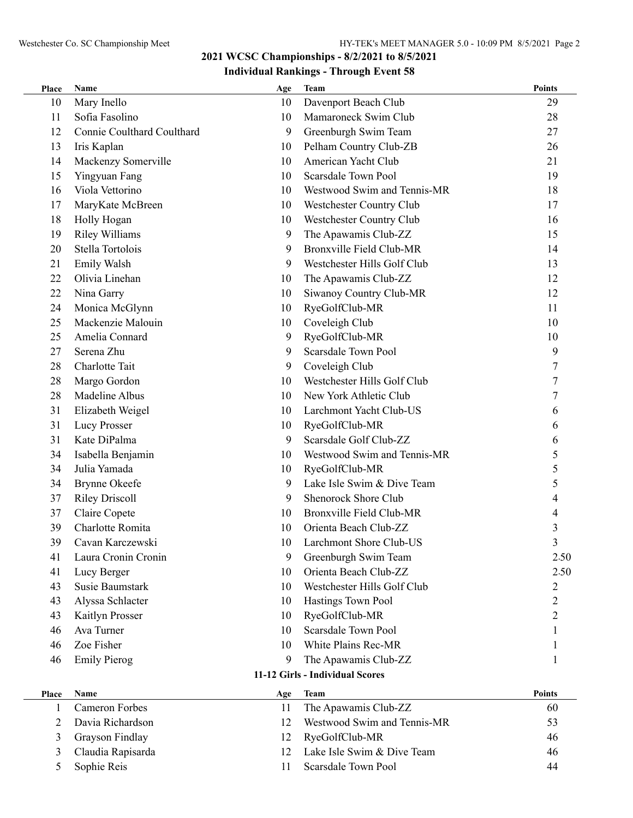#### **Individual Rankings - Through Event 58**

| Place                           | Name                       | Age | <b>Team</b>                     | <b>Points</b>  |  |
|---------------------------------|----------------------------|-----|---------------------------------|----------------|--|
| 10                              | Mary Inello                | 10  | Davenport Beach Club            | 29             |  |
| 11                              | Sofia Fasolino             | 10  | Mamaroneck Swim Club            | 28             |  |
| 12                              | Connie Coulthard Coulthard | 9   | Greenburgh Swim Team            | 27             |  |
| 13                              | Iris Kaplan                | 10  | Pelham Country Club-ZB          | 26             |  |
| 14                              | Mackenzy Somerville        | 10  | American Yacht Club             | 21             |  |
| 15                              | Yingyuan Fang              | 10  | Scarsdale Town Pool             | 19             |  |
| 16                              | Viola Vettorino            | 10  | Westwood Swim and Tennis-MR     | 18             |  |
| 17                              | MaryKate McBreen           | 10  | Westchester Country Club        | 17             |  |
| 18                              | Holly Hogan                | 10  | Westchester Country Club        | 16             |  |
| 19                              | <b>Riley Williams</b>      | 9   | The Apawamis Club-ZZ            | 15             |  |
| 20                              | Stella Tortolois           | 9   | <b>Bronxville Field Club-MR</b> | 14             |  |
| 21                              | Emily Walsh                | 9   | Westchester Hills Golf Club     | 13             |  |
| 22                              | Olivia Linehan             | 10  | The Apawamis Club-ZZ            | 12             |  |
| 22                              | Nina Garry                 | 10  | Siwanoy Country Club-MR         | 12             |  |
| 24                              | Monica McGlynn             | 10  | RyeGolfClub-MR                  | 11             |  |
| 25                              | Mackenzie Malouin          | 10  | Coveleigh Club                  | 10             |  |
| 25                              | Amelia Connard             | 9   | RyeGolfClub-MR                  | 10             |  |
| 27                              | Serena Zhu                 | 9   | Scarsdale Town Pool             | 9              |  |
| 28                              | Charlotte Tait             | 9   | Coveleigh Club                  | 7              |  |
| 28                              | Margo Gordon               | 10  | Westchester Hills Golf Club     | 7              |  |
| 28                              | Madeline Albus             | 10  | New York Athletic Club          | 7              |  |
| 31                              | Elizabeth Weigel           | 10  | Larchmont Yacht Club-US         | 6              |  |
| 31                              | Lucy Prosser               | 10  | RyeGolfClub-MR                  | 6              |  |
| 31                              | Kate DiPalma               | 9   | Scarsdale Golf Club-ZZ          | 6              |  |
| 34                              | Isabella Benjamin          | 10  | Westwood Swim and Tennis-MR     | 5              |  |
| 34                              | Julia Yamada               | 10  | RyeGolfClub-MR                  | 5              |  |
| 34                              | Brynne Okeefe              | 9   | Lake Isle Swim & Dive Team      | 5              |  |
| 37                              | <b>Riley Driscoll</b>      | 9   | Shenorock Shore Club            | 4              |  |
| 37                              | Claire Copete              | 10  | <b>Bronxville Field Club-MR</b> | 4              |  |
| 39                              | Charlotte Romita           | 10  | Orienta Beach Club-ZZ           | 3              |  |
| 39                              | Cavan Karczewski           | 10  | Larchmont Shore Club-US         | 3              |  |
| 41                              | Laura Cronin Cronin        | 9   | Greenburgh Swim Team            | 2.50           |  |
| 41                              | Lucy Berger                | 10  | Orienta Beach Club-ZZ           | 2.50           |  |
| 43                              | <b>Susie Baumstark</b>     | 10  | Westchester Hills Golf Club     | 2              |  |
| 43                              | Alyssa Schlacter           | 10  | Hastings Town Pool              | $\overline{2}$ |  |
| 43                              | Kaitlyn Prosser            | 10  | RyeGolfClub-MR                  | $\mathfrak{2}$ |  |
| 46                              | Ava Turner                 | 10  | <b>Scarsdale Town Pool</b>      |                |  |
| 46                              | Zoe Fisher                 | 10  | White Plains Rec-MR             |                |  |
| 46                              | <b>Emily Pierog</b>        | 9   | The Apawamis Club-ZZ            | I.             |  |
| 11-12 Girls - Individual Scores |                            |     |                                 |                |  |
| <b>Place</b>                    | Name                       | Age | <b>Team</b>                     | <b>Points</b>  |  |
| 1                               | <b>Cameron Forbes</b>      | 11  | The Apawamis Club-ZZ            | 60             |  |
| 2                               | Davia Richardson           | 12  | Westwood Swim and Tennis-MR     | 53             |  |
| 3                               | Grayson Findlay            | 12  | RyeGolfClub-MR                  | 46             |  |

 Claudia Rapisarda 12 Lake Isle Swim & Dive Team 46 Sophie Reis 11 Scarsdale Town Pool 44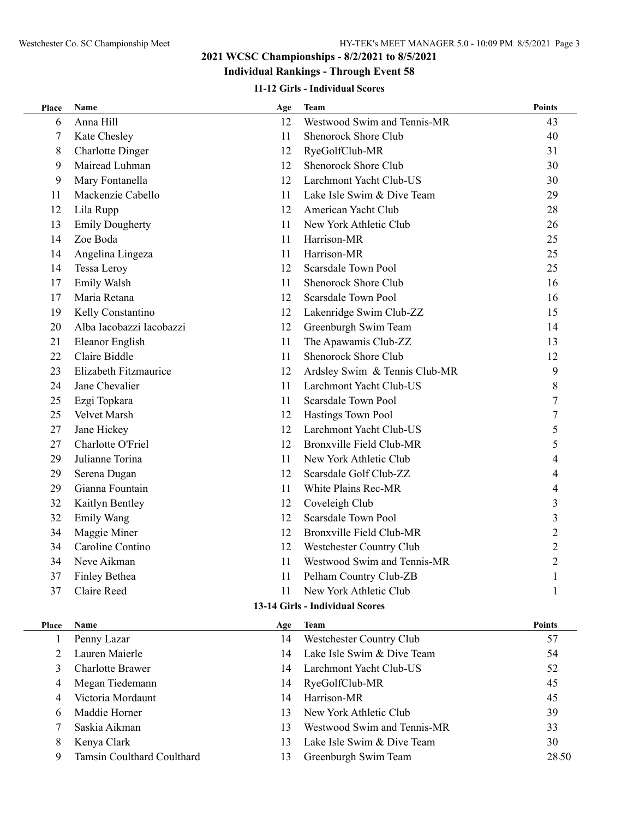#### **Individual Rankings - Through Event 58**

#### **11-12 Girls - Individual Scores**

| Place                           | Name                       | Age | Team                            | <b>Points</b>  |  |  |  |
|---------------------------------|----------------------------|-----|---------------------------------|----------------|--|--|--|
| 6                               | Anna Hill                  | 12  | Westwood Swim and Tennis-MR     | 43             |  |  |  |
| 7                               | Kate Chesley               | 11  | Shenorock Shore Club            | 40             |  |  |  |
| 8                               | <b>Charlotte Dinger</b>    | 12  | RyeGolfClub-MR                  | 31             |  |  |  |
| 9                               | Mairead Luhman             | 12  | Shenorock Shore Club            | 30             |  |  |  |
| 9                               | Mary Fontanella            | 12  | Larchmont Yacht Club-US         | 30             |  |  |  |
| 11                              | Mackenzie Cabello          | 11  | Lake Isle Swim & Dive Team      | 29             |  |  |  |
| 12                              | Lila Rupp                  | 12  | American Yacht Club             | 28             |  |  |  |
| 13                              | <b>Emily Dougherty</b>     | 11  | New York Athletic Club          | 26             |  |  |  |
| 14                              | Zoe Boda                   | 11  | Harrison-MR                     | 25             |  |  |  |
| 14                              | Angelina Lingeza           | 11  | Harrison-MR                     | 25             |  |  |  |
| 14                              | Tessa Leroy                | 12  | <b>Scarsdale Town Pool</b>      | 25             |  |  |  |
| 17                              | Emily Walsh                | 11  | Shenorock Shore Club            | 16             |  |  |  |
| 17                              | Maria Retana               | 12  | Scarsdale Town Pool             | 16             |  |  |  |
| 19                              | Kelly Constantino          | 12  | Lakenridge Swim Club-ZZ         | 15             |  |  |  |
| 20                              | Alba Iacobazzi Iacobazzi   | 12  | Greenburgh Swim Team            | 14             |  |  |  |
| 21                              | Eleanor English            | 11  | The Apawamis Club-ZZ            | 13             |  |  |  |
| 22                              | Claire Biddle              | 11  | <b>Shenorock Shore Club</b>     | 12             |  |  |  |
| 23                              | Elizabeth Fitzmaurice      | 12  | Ardsley Swim & Tennis Club-MR   | 9              |  |  |  |
| 24                              | Jane Chevalier             | 11  | Larchmont Yacht Club-US         | 8              |  |  |  |
| 25                              | Ezgi Topkara               | 11  | Scarsdale Town Pool             | 7              |  |  |  |
| 25                              | Velvet Marsh               | 12  | Hastings Town Pool              | 7              |  |  |  |
| 27                              | Jane Hickey                | 12  | Larchmont Yacht Club-US         | 5              |  |  |  |
| 27                              | Charlotte O'Friel          | 12  | <b>Bronxville Field Club-MR</b> | 5              |  |  |  |
| 29                              | Julianne Torina            | 11  | New York Athletic Club          |                |  |  |  |
| 29                              | Serena Dugan               | 12  | Scarsdale Golf Club-ZZ          |                |  |  |  |
| 29                              | Gianna Fountain            | 11  | White Plains Rec-MR             |                |  |  |  |
| 32                              | Kaitlyn Bentley            | 12  | Coveleigh Club                  | 3              |  |  |  |
| 32                              | <b>Emily Wang</b>          | 12  | <b>Scarsdale Town Pool</b>      | 3              |  |  |  |
| 34                              | Maggie Miner               | 12  | Bronxville Field Club-MR        | $\overline{c}$ |  |  |  |
| 34                              | Caroline Contino           | 12  | Westchester Country Club        | $\overline{c}$ |  |  |  |
| 34                              | Neve Aikman                | 11  | Westwood Swim and Tennis-MR     | $\overline{2}$ |  |  |  |
| 37                              | Finley Bethea              | 11  | Pelham Country Club-ZB          |                |  |  |  |
| 37                              | Claire Reed                | 11  | New York Athletic Club          |                |  |  |  |
| 13-14 Girls - Individual Scores |                            |     |                                 |                |  |  |  |
| <b>Place</b>                    | Name                       | Age | Team                            | <b>Points</b>  |  |  |  |
| 1                               | Penny Lazar                | 14  | Westchester Country Club        | 57             |  |  |  |
| 2                               | Lauren Maierle             | 14  | Lake Isle Swim & Dive Team      | 54             |  |  |  |
| 3                               | <b>Charlotte Brawer</b>    | 14  | Larchmont Yacht Club-US         | 52             |  |  |  |
| 4                               | Megan Tiedemann            | 14  | RyeGolfClub-MR                  | 45             |  |  |  |
| 4                               | Victoria Mordaunt          | 14  | Harrison-MR                     | 45             |  |  |  |
| 6                               | Maddie Horner              | 13  | New York Athletic Club          | 39             |  |  |  |
| 7                               | Saskia Aikman              | 13  | Westwood Swim and Tennis-MR     | 33             |  |  |  |
| 8                               | Kenya Clark                | 13  | Lake Isle Swim & Dive Team      | 30             |  |  |  |
| 9                               | Tamsin Coulthard Coulthard | 13  | Greenburgh Swim Team            | 28.50          |  |  |  |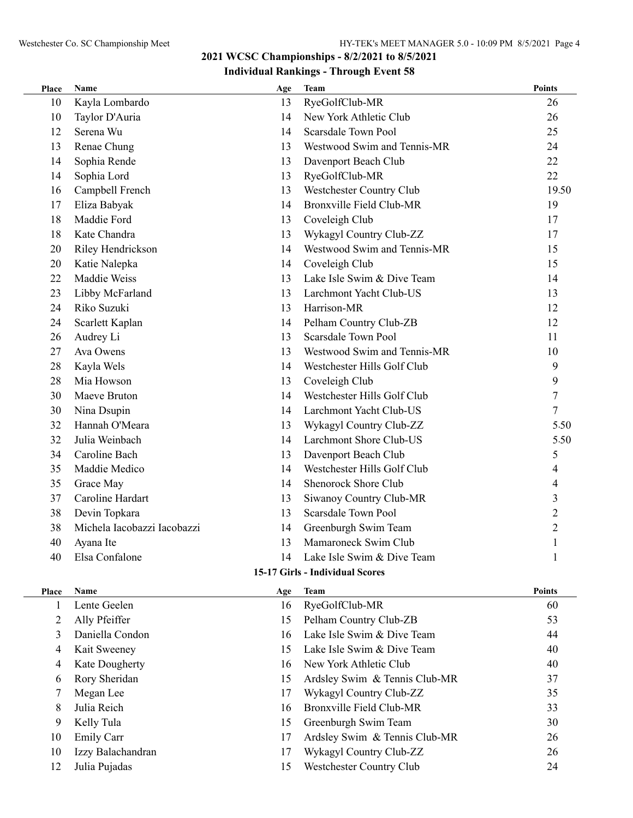| Place | <b>Name</b>                 | Age | <b>Team</b>                     | <b>Points</b>  |
|-------|-----------------------------|-----|---------------------------------|----------------|
| 10    | Kayla Lombardo              | 13  | RyeGolfClub-MR                  | 26             |
| 10    | Taylor D'Auria              | 14  | New York Athletic Club          | 26             |
| 12    | Serena Wu                   | 14  | Scarsdale Town Pool             | 25             |
| 13    | Renae Chung                 | 13  | Westwood Swim and Tennis-MR     | 24             |
| 14    | Sophia Rende                | 13  | Davenport Beach Club            | 22             |
| 14    | Sophia Lord                 | 13  | RyeGolfClub-MR                  | 22             |
| 16    | Campbell French             | 13  | Westchester Country Club        | 19.50          |
| 17    | Eliza Babyak                | 14  | <b>Bronxville Field Club-MR</b> | 19             |
| 18    | Maddie Ford                 | 13  | Coveleigh Club                  | 17             |
| 18    | Kate Chandra                | 13  | Wykagyl Country Club-ZZ         | 17             |
| 20    | Riley Hendrickson           | 14  | Westwood Swim and Tennis-MR     | 15             |
| 20    | Katie Nalepka               | 14  | Coveleigh Club                  | 15             |
| 22    | Maddie Weiss                | 13  | Lake Isle Swim & Dive Team      | 14             |
| 23    | Libby McFarland             | 13  | Larchmont Yacht Club-US         | 13             |
| 24    | Riko Suzuki                 | 13  | Harrison-MR                     | 12             |
| 24    | Scarlett Kaplan             | 14  | Pelham Country Club-ZB          | 12             |
| 26    | Audrey Li                   | 13  | <b>Scarsdale Town Pool</b>      | 11             |
| 27    | Ava Owens                   | 13  | Westwood Swim and Tennis-MR     | 10             |
| 28    | Kayla Wels                  | 14  | Westchester Hills Golf Club     | 9              |
| 28    | Mia Howson                  | 13  | Coveleigh Club                  | 9              |
| 30    | Maeve Bruton                | 14  | Westchester Hills Golf Club     | 7              |
| 30    | Nina Dsupin                 | 14  | Larchmont Yacht Club-US         | 7              |
| 32    | Hannah O'Meara              | 13  | Wykagyl Country Club-ZZ         | 5.50           |
| 32    | Julia Weinbach              | 14  | Larchmont Shore Club-US         | 5.50           |
| 34    | Caroline Bach               | 13  | Davenport Beach Club            | 5              |
| 35    | Maddie Medico               | 14  | Westchester Hills Golf Club     | 4              |
| 35    | Grace May                   | 14  | Shenorock Shore Club            | $\overline{4}$ |
| 37    | Caroline Hardart            | 13  | Siwanoy Country Club-MR         | 3              |
| 38    | Devin Topkara               | 13  | <b>Scarsdale Town Pool</b>      | $\overline{2}$ |
| 38    | Michela Iacobazzi Iacobazzi | 14  | Greenburgh Swim Team            | $\overline{2}$ |
| 40    | Ayana Ite                   | 13  | Mamaroneck Swim Club            | 1              |
| 40    | Elsa Confalone              | 14  | Lake Isle Swim & Dive Team      | $\mathbf{1}$   |
|       |                             |     |                                 |                |

#### **15-17 Girls - Individual Scores**

| Place | <b>Name</b>       | Age | <b>Team</b>                   | <b>Points</b> |
|-------|-------------------|-----|-------------------------------|---------------|
|       | Lente Geelen      | 16  | RyeGolfClub-MR                | 60            |
|       | Ally Pfeiffer     | 15  | Pelham Country Club-ZB        | 53            |
| 3     | Daniella Condon   | 16  | Lake Isle Swim & Dive Team    | 44            |
| 4     | Kait Sweeney      | 15  | Lake Isle Swim & Dive Team    | 40            |
| 4     | Kate Dougherty    | 16  | New York Athletic Club        | 40            |
| 6     | Rory Sheridan     | 15  | Ardsley Swim & Tennis Club-MR | 37            |
|       | Megan Lee         | 17  | Wykagyl Country Club-ZZ       | 35            |
| 8     | Julia Reich       | 16  | Bronxville Field Club-MR      | 33            |
| 9     | Kelly Tula        | 15  | Greenburgh Swim Team          | 30            |
| 10    | <b>Emily Carr</b> | 17  | Ardsley Swim & Tennis Club-MR | 26            |
| 10    | Izzy Balachandran | 17  | Wykagyl Country Club-ZZ       | 26            |
| 12    | Julia Pujadas     | 15  | Westchester Country Club      | 24            |
|       |                   |     |                               |               |